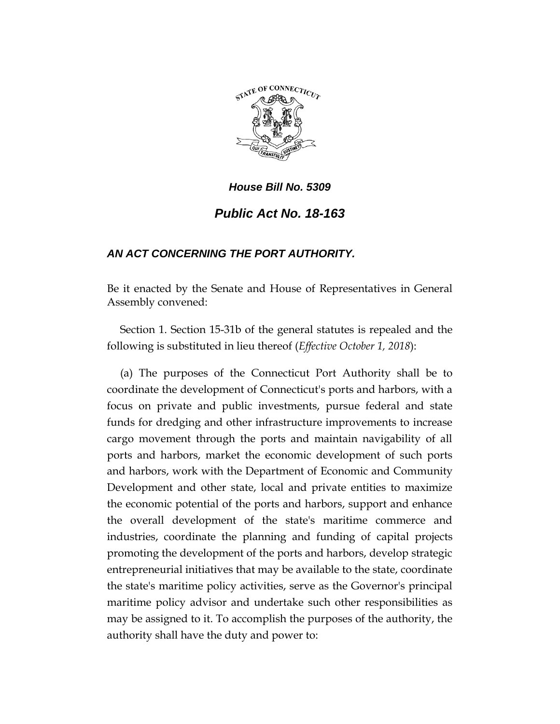

# *House Bill No. 5309 Public Act No. 18-163*

## *AN ACT CONCERNING THE PORT AUTHORITY.*

Be it enacted by the Senate and House of Representatives in General Assembly convened:

Section 1. Section 15-31b of the general statutes is repealed and the following is substituted in lieu thereof (*Effective October 1, 2018*):

(a) The purposes of the Connecticut Port Authority shall be to coordinate the development of Connecticut's ports and harbors, with a focus on private and public investments, pursue federal and state funds for dredging and other infrastructure improvements to increase cargo movement through the ports and maintain navigability of all ports and harbors, market the economic development of such ports and harbors, work with the Department of Economic and Community Development and other state, local and private entities to maximize the economic potential of the ports and harbors, support and enhance the overall development of the state's maritime commerce and industries, coordinate the planning and funding of capital projects promoting the development of the ports and harbors, develop strategic entrepreneurial initiatives that may be available to the state, coordinate the state's maritime policy activities, serve as the Governor's principal maritime policy advisor and undertake such other responsibilities as may be assigned to it. To accomplish the purposes of the authority, the authority shall have the duty and power to: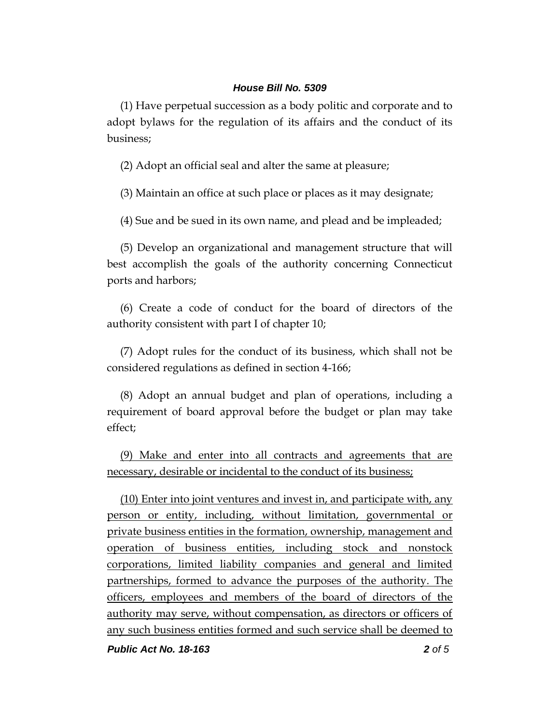(1) Have perpetual succession as a body politic and corporate and to adopt bylaws for the regulation of its affairs and the conduct of its business;

(2) Adopt an official seal and alter the same at pleasure;

(3) Maintain an office at such place or places as it may designate;

(4) Sue and be sued in its own name, and plead and be impleaded;

(5) Develop an organizational and management structure that will best accomplish the goals of the authority concerning Connecticut ports and harbors;

(6) Create a code of conduct for the board of directors of the authority consistent with part I of chapter 10;

(7) Adopt rules for the conduct of its business, which shall not be considered regulations as defined in section 4-166;

(8) Adopt an annual budget and plan of operations, including a requirement of board approval before the budget or plan may take effect;

(9) Make and enter into all contracts and agreements that are necessary, desirable or incidental to the conduct of its business;

(10) Enter into joint ventures and invest in, and participate with, any person or entity, including, without limitation, governmental or private business entities in the formation, ownership, management and operation of business entities, including stock and nonstock corporations, limited liability companies and general and limited partnerships, formed to advance the purposes of the authority. The officers, employees and members of the board of directors of the authority may serve, without compensation, as directors or officers of any such business entities formed and such service shall be deemed to

*Public Act No. 18-163 2 of 5*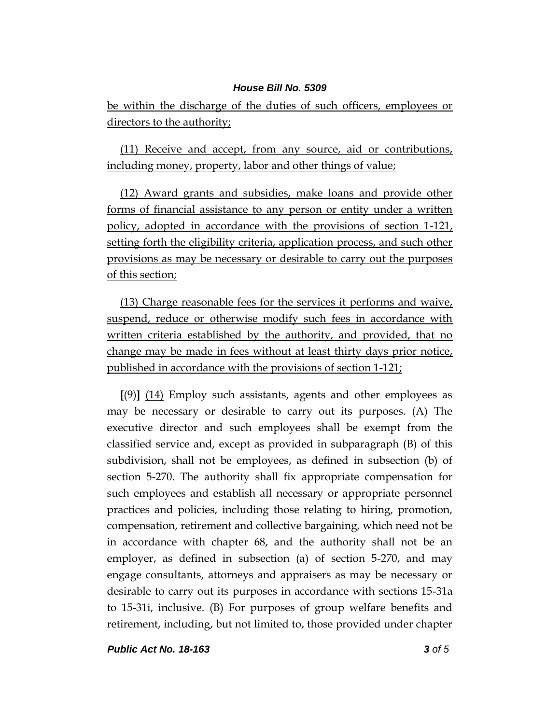be within the discharge of the duties of such officers, employees or directors to the authority;

(11) Receive and accept, from any source, aid or contributions, including money, property, labor and other things of value;

(12) Award grants and subsidies, make loans and provide other forms of financial assistance to any person or entity under a written policy, adopted in accordance with the provisions of section 1-121, setting forth the eligibility criteria, application process, and such other provisions as may be necessary or desirable to carry out the purposes of this section;

(13) Charge reasonable fees for the services it performs and waive, suspend, reduce or otherwise modify such fees in accordance with written criteria established by the authority, and provided, that no change may be made in fees without at least thirty days prior notice, published in accordance with the provisions of section 1-121;

**[**(9)**]** (14) Employ such assistants, agents and other employees as may be necessary or desirable to carry out its purposes. (A) The executive director and such employees shall be exempt from the classified service and, except as provided in subparagraph (B) of this subdivision, shall not be employees, as defined in subsection (b) of section 5-270. The authority shall fix appropriate compensation for such employees and establish all necessary or appropriate personnel practices and policies, including those relating to hiring, promotion, compensation, retirement and collective bargaining, which need not be in accordance with chapter 68, and the authority shall not be an employer, as defined in subsection (a) of section 5-270, and may engage consultants, attorneys and appraisers as may be necessary or desirable to carry out its purposes in accordance with sections 15-31a to 15-31i, inclusive. (B) For purposes of group welfare benefits and retirement, including, but not limited to, those provided under chapter

*Public Act No. 18-163 3 of 5*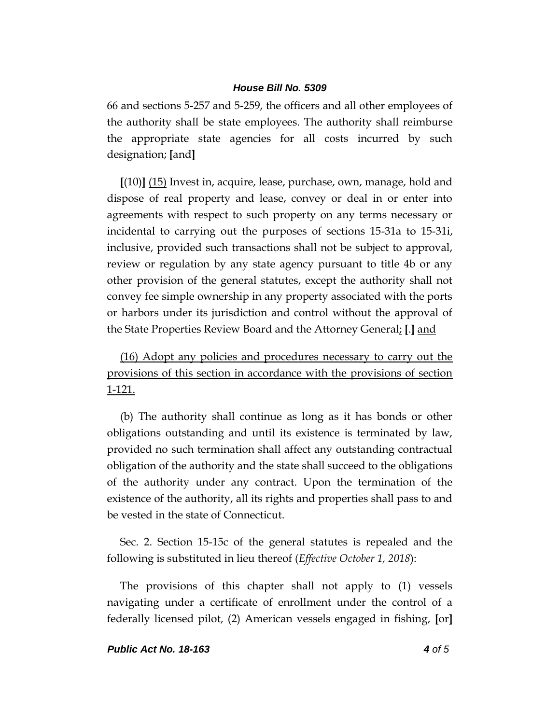66 and sections 5-257 and 5-259, the officers and all other employees of the authority shall be state employees. The authority shall reimburse the appropriate state agencies for all costs incurred by such designation; **[**and**]**

**[**(10)**]** (15) Invest in, acquire, lease, purchase, own, manage, hold and dispose of real property and lease, convey or deal in or enter into agreements with respect to such property on any terms necessary or incidental to carrying out the purposes of sections 15-31a to 15-31i, inclusive, provided such transactions shall not be subject to approval, review or regulation by any state agency pursuant to title 4b or any other provision of the general statutes, except the authority shall not convey fee simple ownership in any property associated with the ports or harbors under its jurisdiction and control without the approval of the State Properties Review Board and the Attorney General; **[**.**]** and

(16) Adopt any policies and procedures necessary to carry out the provisions of this section in accordance with the provisions of section 1-121.

(b) The authority shall continue as long as it has bonds or other obligations outstanding and until its existence is terminated by law, provided no such termination shall affect any outstanding contractual obligation of the authority and the state shall succeed to the obligations of the authority under any contract. Upon the termination of the existence of the authority, all its rights and properties shall pass to and be vested in the state of Connecticut.

Sec. 2. Section 15-15c of the general statutes is repealed and the following is substituted in lieu thereof (*Effective October 1, 2018*):

The provisions of this chapter shall not apply to (1) vessels navigating under a certificate of enrollment under the control of a federally licensed pilot, (2) American vessels engaged in fishing, **[**or**]**